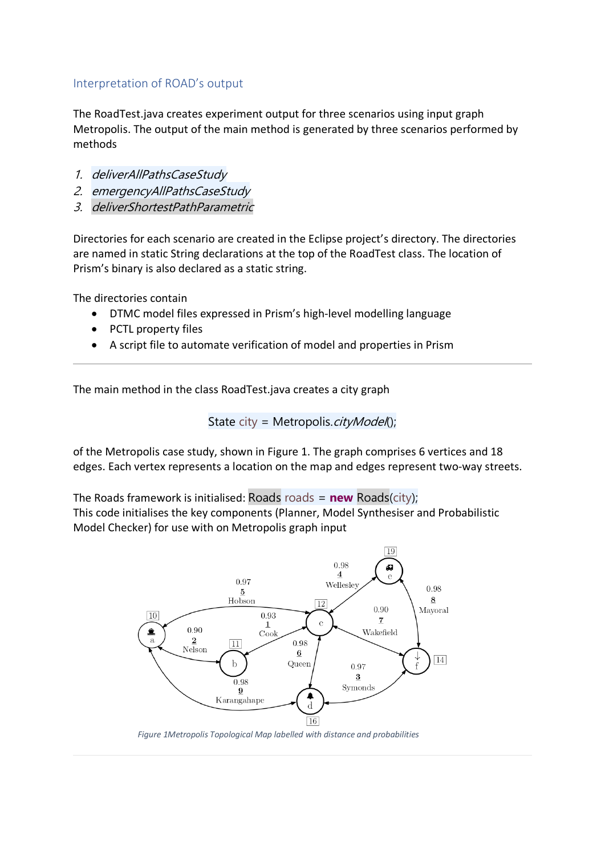## Interpretation of ROAD's output

The RoadTest.java creates experiment output for three scenarios using input graph Metropolis. The output of the main method is generated by three scenarios performed by methods

- 1. deliverAllPathsCaseStudy
- 2. emergencyAllPathsCaseStudy
- 3. deliverShortestPathParametric

Directories for each scenario are created in the Eclipse project's directory. The directories are named in static String declarations at the top of the RoadTest class. The location of Prism's binary is also declared as a static string.

The directories contain

- DTMC model files expressed in Prism's high-level modelling language
- PCTL property files
- A script file to automate verification of model and properties in Prism

The main method in the class RoadTest.java creates a city graph

State city = Metropolis.*cityModel*();

of the Metropolis case study, shown in Figure 1. The graph comprises 6 vertices and 18 edges. Each vertex represents a location on the map and edges represent two-way streets.

The Roads framework is initialised: Roads roads =  $new$  Roads(city); This code initialises the key components (Planner, Model Synthesiser and Probabilistic Model Checker) for use with on Metropolis graph input



*Figure 1Metropolis Topological Map labelled with distance and probabilities*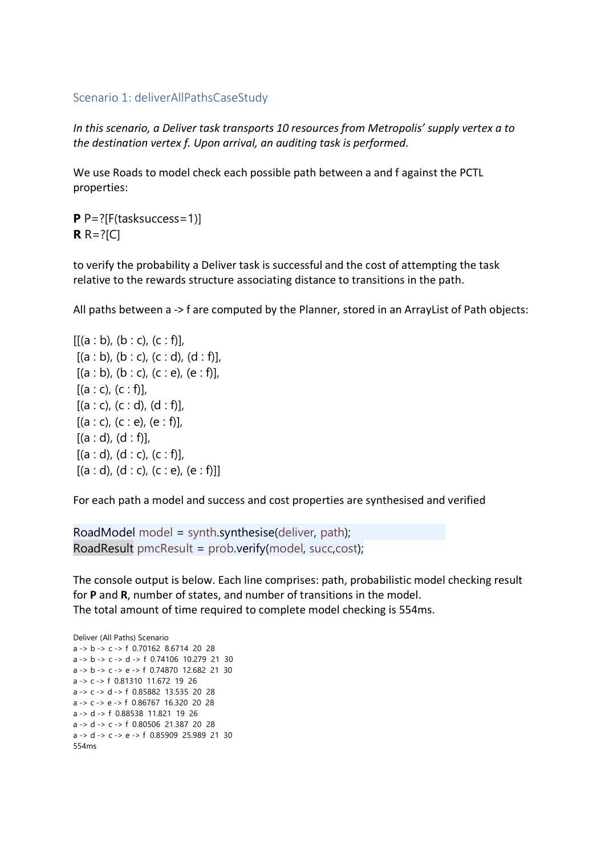## Scenario 1: deliverAllPathsCaseStudy

*In this scenario, a Deliver task transports 10 resources from Metropolis' supply vertex a to the destination vertex f. Upon arrival, an auditing task is performed.* 

We use Roads to model check each possible path between a and f against the PCTL properties:

**P** P=?[F(tasksuccess=1)] **R** R=?[C]

to verify the probability a Deliver task is successful and the cost of attempting the task relative to the rewards structure associating distance to transitions in the path.

All paths between a -> f are computed by the Planner, stored in an ArrayList of Path objects:

 $[[(a : b), (b : c), (c : f)],$  $[(a : b), (b : c), (c : d), (d : f)],$  $[(a : b), (b : c), (c : e), (e : f)],$  $[(a : c), (c : f)],$  $[(a : c), (c : d), (d : f)],$  $[(a : c), (c : e), (e : f)],$  $[(a : d), (d : f)],$  $[(a : d), (d : c), (c : f)],$  $[(a:d), (d:c), (c:e), (e:f)]]$ 

For each path a model and success and cost properties are synthesised and verified

RoadModel model = synth.synthesise(deliver, path); RoadResult pmcResult = prob.verify(model, succ,cost);

The console output is below. Each line comprises: path, probabilistic model checking result for **P** and **R**, number of states, and number of transitions in the model. The total amount of time required to complete model checking is 554ms.

Deliver (All Paths) Scenario a -> b -> c -> f 0.70162 8.6714 20 28 a -> b -> c -> d -> f 0.74106 10.279 21 30 a -> b -> c -> e -> f 0.74870 12.682 21 30 a -> c -> f 0.81310 11.672 19 26 a -> c -> d -> f 0.85882 13.535 20 28 a -> c -> e -> f 0.86767 16.320 20 28 a -> d -> f 0.88538 11.821 19 26 a -> d -> c -> f 0.80506 21.387 20 28 a -> d -> c -> e -> f 0.85909 25.989 21 30 554ms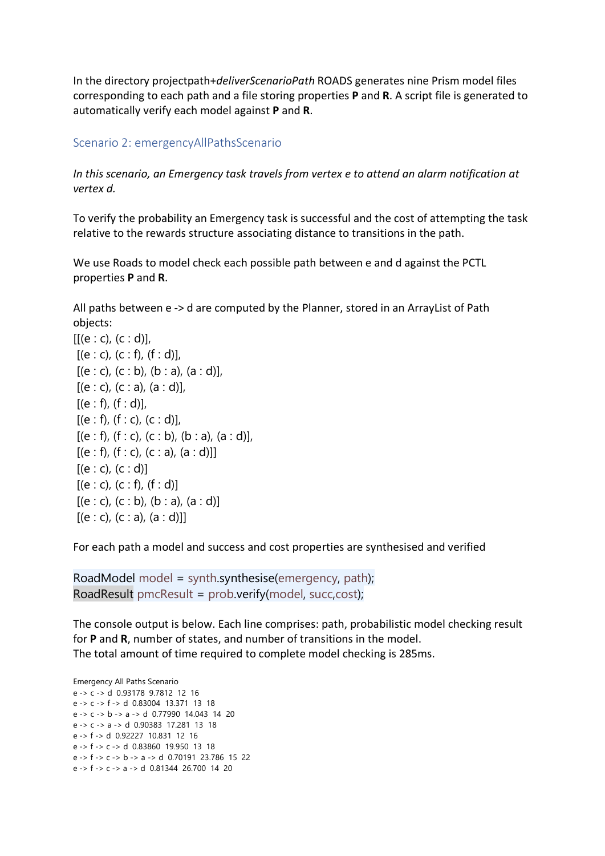In the directory projectpath+*deliverScenarioPath* ROADS generates nine Prism model files corresponding to each path and a file storing properties **P** and **R**. A script file is generated to automatically verify each model against **P** and **R**.

## Scenario 2: emergencyAllPathsScenario

*In this scenario, an Emergency task travels from vertex e to attend an alarm notification at vertex d.*

To verify the probability an Emergency task is successful and the cost of attempting the task relative to the rewards structure associating distance to transitions in the path.

We use Roads to model check each possible path between e and d against the PCTL properties **P** and **R**.

All paths between e -> d are computed by the Planner, stored in an ArrayList of Path objects:

 $[[(e : c), (c : d)],$  $[(e : c), (c : f), (f : d)],$  $[(e : c), (c : b), (b : a), (a : d)],$  $[(e : c), (c : a), (a : d)],$  $[(e : f), (f : d)],$  $[(e : f), (f : c), (c : d)],$  $[(e : f), (f : c), (c : b), (b : a), (a : d)],$  $[(e : f), (f : c), (c : a), (a : d)]]$  $[(e : c), (c : d)]$  $[(e : c), (c : f), (f : d)]$  $[(e : c), (c : b), (b : a), (a : d)]$  $[(e : c), (c : a), (a : d)]$ 

For each path a model and success and cost properties are synthesised and verified

RoadModel model = synth.synthesise(emergency, path); RoadResult pmcResult =  $prob.\nvert$  model, succ, cost);

The console output is below. Each line comprises: path, probabilistic model checking result for **P** and **R**, number of states, and number of transitions in the model. The total amount of time required to complete model checking is 285ms.

Emergency All Paths Scenario e -> c -> d 0.93178 9.7812 12 16 e -> c -> f -> d 0.83004 13.371 13 18 e -> c -> b -> a -> d 0.77990 14.043 14 20 e -> c -> a -> d 0.90383 17.281 13 18 e -> f -> d 0.92227 10.831 12 16 e -> f -> c -> d 0.83860 19.950 13 18 e -> f -> c -> b -> a -> d 0.70191 23.786 15 22 e -> f -> c -> a -> d 0.81344 26.700 14 20